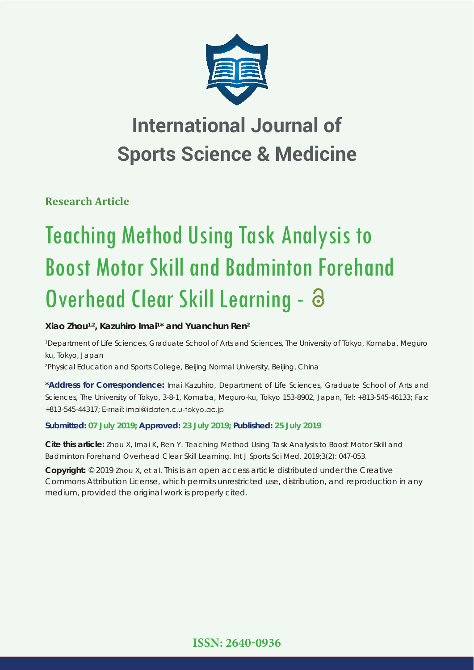

## **International Journal of Sports Science & Medicine**

**Research Article**

# Teaching Method Using Task Analysis to Boost Motor Skill and Badminton Forehand Overhead Clear Skill Learning - 8

## **Xiao Zhou1,2, Kazuhiro Imai1 \* and Yuanchun Ren2**

*1 Department of Life Sciences, Graduate School of Arts and Sciences, The University of Tokyo, Komaba, Meguro ku, Tokyo, Japan*

*2 Physical Education and Sports College, Beijing Normal University, Beijing, China*

**\*Address for Correspondence:** Imai Kazuhiro, Department of Life Sciences, Graduate School of Arts and Sciences, The University of Tokyo, 3-8-1, Komaba, Meguro-ku, Tokyo 153-8902, Japan, Tel: +813-545-46133; Fax: +813-545-44317; E-mail:

## **Submitted: 07 July 2019; Approved: 23 July 2019; Published: 25 July 2019**

**Cite this article:** Zhou X, Imai K, Ren Y. Teaching Method Using Task Analysis to Boost Motor Skill and Badminton Forehand Overhead Clear Skill Learning. Int J Sports Sci Med. 2019;3(2): 047-053.

**Copyright:** © 2019 Zhou X, et al. This is an open access article distributed under the Creative Commons Attribution License, which permits unrestricted use, distribution, and reproduction in any medium, provided the original work is properly cited.

**ISSN: 2640-0936**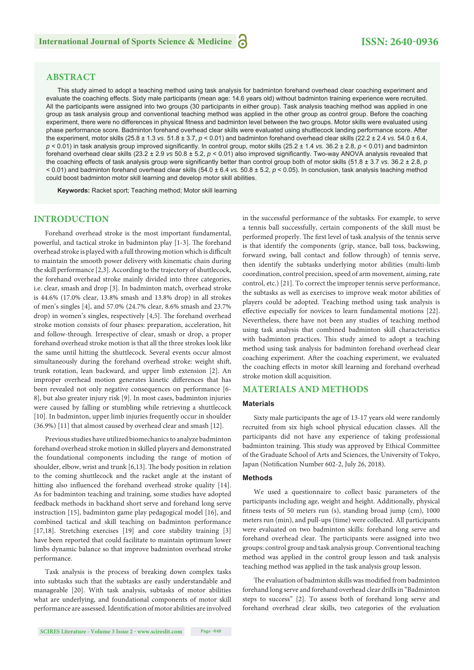## **ABSTRACT**

This study aimed to adopt a teaching method using task analysis for badminton forehand overhead clear coaching experiment and evaluate the coaching effects. Sixty male participants (mean age: 14.6 years old) without badminton training experience were recruited. All the participants were assigned into two groups (30 participants in either group). Task analysis teaching method was applied in one group as task analysis group and conventional teaching method was applied in the other group as control group. Before the coaching experiment, there were no differences in physical fitness and badminton level between the two groups. Motor skills were evaluated using phase performance score. Badminton forehand overhead clear skills were evaluated using shuttlecock landing performance score. After the experiment, motor skills (25.8 ± 1.3 *vs.* 51.8 ± 3.7, *p* < 0.01) and badminton forehand overhead clear skills (22.2 ± 2.4 *vs.* 54.0 ± 6.4,  $p$  < 0.01) in task analysis group improved significantly. In control group, motor skills (25.2 ± 1.4 *vs.* 36.2 ± 2.8,  $p$  < 0.01) and badminton forehand overhead clear skills (23.2 ± 2.9 *vs* 50.8 ± 5.2,  $p$  < 0.01) also improved significantly. Two-way ANOVA analysis revealed that the coaching effects of task analysis group were significantly better than control group both of motor skills  $(51.8 \pm 3.7 \text{ vs. } 36.2 \pm 2.8, p)$ < 0.01) and badminton forehand overhead clear skills (54.0 ± 6.4 *vs.* 50.8 ± 5.2, *p* < 0.05). In conclusion, task analysis teaching method could boost badminton motor skill learning and develop motor skill abilities.

**Keywords:** Racket sport; Teaching method; Motor skill learning

### **INTRODUCTION**

Forehand overhead stroke is the most important fundamental, powerful, and tactical stroke in badminton play [1-3]. The forehand overhead stroke is played with a full throwing motion which is difficult to maintain the smooth power delivery with kinematic chain during the skill performance [2,3]. According to the trajectory of shuttlecock, the forehand overhead stroke mainly divided into three categories, i.e. clear, smash and drop [3]. In badminton match, overhead stroke is 44.6% (17.0% clear, 13.8% smash and 13.8% drop) in all strokes of men's singles [4], and 57.0% (24.7% clear, 8.6% smash and 23.7% drop) in women's singles, respectively [4,5]. The forehand overhead stroke motion consists of four phases: preparation, acceleration, hit and follow-through. Irrespective of clear, smash or drop, a proper forehand overhead stroke motion is that all the three strokes look like the same until hitting the shuttlecock. Several events occur almost simultaneously during the forehand overhead stroke: weight shift, trunk rotation, lean backward, and upper limb extension [2]. An improper overhead motion generates kinetic differences that has been revealed not only negative consequences on performance [6- 8], but also greater injury risk [9]. In most cases, badminton injuries were caused by falling or stumbling while retrieving a shuttlecock [10]. In badminton, upper limb injuries frequently occur in shoulder (36.9%) [11] that almost caused by overhead clear and smash [12].

Previous studies have utilized biomechanics to analyze badminton forehand overhead stroke motion in skilled players and demonstrated the foundational components including the range of motion of shoulder, elbow, wrist and trunk [6,13]. The body position in relation to the coming shuttlecock and the racket angle at the instant of hitting also influenced the forehand overhead stroke quality [14]. As for badminton teaching and training, some studies have adopted feedback methods in backhand short serve and forehand long serve instruction [15], badminton game play pedagogical model [16], and combined tactical and skill teaching on badminton performance [17,18]. Stretching exercises [19] and core stability training [3] have been reported that could facilitate to maintain optimum lower limbs dynamic balance so that improve badminton overhead stroke performance.

Task analysis is the process of breaking down complex tasks into subtasks such that the subtasks are easily understandable and manageable [20]. With task analysis, subtasks of motor abilities what are underlying, and foundational components of motor skill performance are assessed. Identification of motor abilities are involved in the successful performance of the subtasks. For example, to serve a tennis ball successfully, certain components of the skill must be performed properly. The first level of task analysis of the tennis serve is that identify the components (grip, stance, ball toss, backswing, forward swing, ball contact and follow through) of tennis serve, then identify the subtasks underlying motor abilities (multi-limb coordination, control precision, speed of arm movement, aiming, rate control, etc.) [21]. To correct the improper tennis serve performance, the subtasks as well as exercises to improve weak motor abilities of players could be adopted. Teaching method using task analysis is effective especially for novices to learn fundamental motions [22]. Nevertheless, there have not been any studies of teaching method using task analysis that combined badminton skill characteristics with badminton practices. This study aimed to adopt a teaching method using task analysis for badminton forehand overhead clear coaching experiment. After the coaching experiment, we evaluated the coaching effects in motor skill learning and forehand overhead stroke motion skill acquisition.

## **MATERIALS AND METHODS**

#### **Materials**

Sixty male participants the age of 13-17 years old were randomly recruited from six high school physical education classes. All the participants did not have any experience of taking professional badminton training. This study was approved by Ethical Committee of the Graduate School of Arts and Sciences, the University of Tokyo, Japan (Notification Number 602-2, July 26, 2018).

#### **Methods**

We used a questionnaire to collect basic parameters of the participants including age, weight and height. Additionally, physical fitness tests of 50 meters run (s), standing broad jump (cm), 1000 meters run (min), and pull-ups (time) were collected. All participants were evaluated on two badminton skills: forehand long serve and forehand overhead clear. The participants were assigned into two groups: control group and task analysis group. Conventional teaching method was applied in the control group lesson and task analysis teaching method was applied in the task analysis group lesson.

The evaluation of badminton skills was modified from badminton forehand long serve and forehand overhead clear drills in "Badminton steps to success" [2]. To assess both of forehand long serve and forehand overhead clear skills, two categories of the evaluation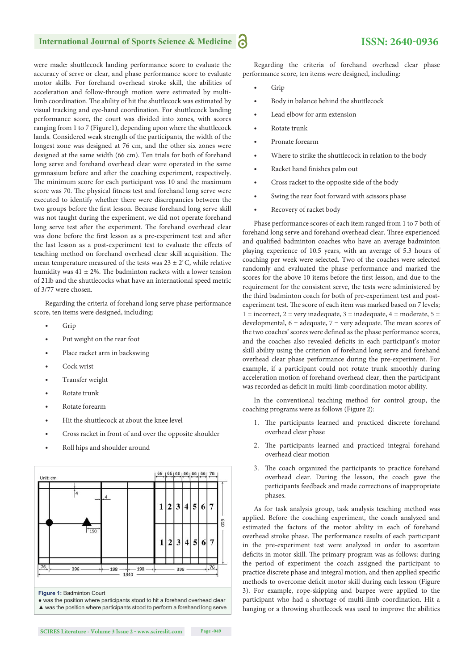## **International Journal of Sports Science & Medicine**

were made: shuttlecock landing performance score to evaluate the accuracy of serve or clear, and phase performance score to evaluate motor skills. For forehand overhead stroke skill, the abilities of acceleration and follow-through motion were estimated by multilimb coordination. The ability of hit the shuttlecock was estimated by visual tracking and eye-hand coordination. For shuttlecock landing performance score, the court was divided into zones, with scores ranging from 1 to 7 (Figure1), depending upon where the shuttlecock lands. Considered weak strength of the participants, the width of the longest zone was designed at 76 cm, and the other six zones were designed at the same width (66 cm). Ten trials for both of forehand long serve and forehand overhead clear were operated in the same gymnasium before and after the coaching experiment, respectively. The minimum score for each participant was 10 and the maximum score was 70. The physical fitness test and forehand long serve were executed to identify whether there were discrepancies between the two groups before the first lesson. Because forehand long serve skill was not taught during the experiment, we did not operate forehand long serve test after the experiment. The forehand overhead clear was done before the first lesson as a pre-experiment test and after the last lesson as a post-experiment test to evaluate the effects of teaching method on forehand overhead clear skill acquisition. The mean temperature measured of the tests was  $23 \pm 2^{\circ}$ C, while relative humidity was  $41 \pm 2\%$ . The badminton rackets with a lower tension of 21lb and the shuttlecocks what have an international speed metric of 3/77 were chosen.

Regarding the criteria of forehand long serve phase performance score, ten items were designed, including:

- Grip
- Put weight on the rear foot
- Place racket arm in backswing
- Cock wrist
- Transfer weight
- Rotate trunk
- Rotate forearm
- Hit the shuttlecock at about the knee level
- Cross racket in front of and over the opposite shoulder
- Roll hips and shoulder around



**SCIRES Literature - Volume 3 Issue 2 - www.scireslit.com Page -049**

Regarding the criteria of forehand overhead clear phase performance score, ten items were designed, including:

- Grip
- Body in balance behind the shuttlecock
- Lead elbow for arm extension
- Rotate trunk
- Pronate forearm
- Where to strike the shuttlecock in relation to the body
- Racket hand finishes palm out
- Cross racket to the opposite side of the body
- Swing the rear foot forward with scissors phase
- Recovery of racket body

Phase performance scores of each item ranged from 1 to 7 both of forehand long serve and forehand overhead clear. Three experienced and qualified badminton coaches who have an average badminton playing experience of 10.5 years, with an average of 5.3 hours of coaching per week were selected. Two of the coaches were selected randomly and evaluated the phase performance and marked the scores for the above 10 items before the first lesson, and due to the requirement for the consistent serve, the tests were administered by the third badminton coach for both of pre-experiment test and postexperiment test. The score of each item was marked based on 7 levels;  $1 =$  incorrect,  $2 =$  very inadequate,  $3 =$  inadequate,  $4 =$  moderate,  $5 =$ developmental,  $6 =$  adequate,  $7 =$  very adequate. The mean scores of the two coaches' scores were defined as the phase performance scores, and the coaches also revealed deficits in each participant's motor skill ability using the criterion of forehand long serve and forehand overhead clear phase performance during the pre-experiment. For example, if a participant could not rotate trunk smoothly during acceleration motion of forehand overhead clear, then the participant was recorded as deficit in multi-limb coordination motor ability.

In the conventional teaching method for control group, the coaching programs were as follows (Figure 2):

- 1. The participants learned and practiced discrete forehand overhead clear phase
- 2. The participants learned and practiced integral forehand overhead clear motion
- 3. The coach organized the participants to practice forehand overhead clear. During the lesson, the coach gave the participants feedback and made corrections of inappropriate phases.

As for task analysis group, task analysis teaching method was applied. Before the coaching experiment, the coach analyzed and estimated the factors of the motor ability in each of forehand overhead stroke phase. The performance results of each participant in the pre-experiment test were analyzed in order to ascertain deficits in motor skill. The primary program was as follows: during the period of experiment the coach assigned the participant to practice discrete phase and integral motion, and then applied specific methods to overcome deficit motor skill during each lesson (Figure 3). For example, rope-skipping and burpee were applied to the participant who had a shortage of multi-limb coordination. Hit a hanging or a throwing shuttlecock was used to improve the abilities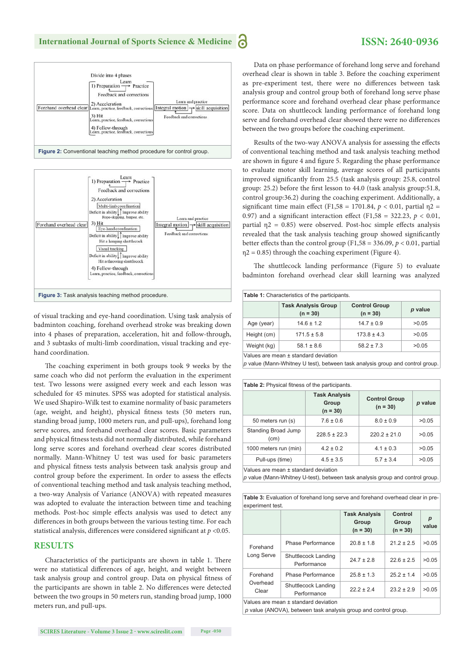## **ISSN: 2640-0936**

|  | Divide into 4 phases<br>Learn<br>1) Preparation $\rightarrow$ Practice<br>Feedback and corrections<br>2) Acceleration<br>3) Hit<br>Learn, practice, feedback, corrections<br>4) Follow-through<br>Learn, practice, feedback, corrections | Learn and practice<br>Forehand overhead clear $\parallel$ Learn, practice, feedback, corrections $\parallel$ Integral motion $\rightarrow$ skill acquisition<br>Feedback and corrections |
|--|------------------------------------------------------------------------------------------------------------------------------------------------------------------------------------------------------------------------------------------|------------------------------------------------------------------------------------------------------------------------------------------------------------------------------------------|
|--|------------------------------------------------------------------------------------------------------------------------------------------------------------------------------------------------------------------------------------------|------------------------------------------------------------------------------------------------------------------------------------------------------------------------------------------|

Figure 2: Conventional teaching method procedure for control group.



of visual tracking and eye-hand coordination. Using task analysis of badminton coaching, forehand overhead stroke was breaking down into 4 phases of preparation, acceleration, hit and follow-through, and 3 subtasks of multi-limb coordination, visual tracking and eyehand coordination.

The coaching experiment in both groups took 9 weeks by the same coach who did not perform the evaluation in the experiment test. Two lessons were assigned every week and each lesson was scheduled for 45 minutes. SPSS was adopted for statistical analysis. We used Shapiro-Wilk test to examine normality of basic parameters (age, weight, and height), physical fitness tests (50 meters run, standing broad jump, 1000 meters run, and pull-ups), forehand long serve scores, and forehand overhead clear scores. Basic parameters and physical fitness tests did not normally distributed, while forehand long serve scores and forehand overhead clear scores distributed normally. Mann-Whitney U test was used for basic parameters and physical fitness tests analysis between task analysis group and control group before the experiment. In order to assess the effects of conventional teaching method and task analysis teaching method, a two-way Analysis of Variance (ANOVA) with repeated measures was adopted to evaluate the interaction between time and teaching methods. Post-hoc simple effects analysis was used to detect any differences in both groups between the various testing time. For each statistical analysis, differences were considered significant at  $p < 0.05$ .

#### **RESULTS**

Characteristics of the participants are shown in table 1. There were no statistical differences of age, height, and weight between task analysis group and control group. Data on physical fitness of the participants are shown in table 2. No differences were detected between the two groups in 50 meters run, standing broad jump, 1000 meters run, and pull-ups.

Data on phase performance of forehand long serve and forehand overhead clear is shown in table 3. Before the coaching experiment as pre-experiment test, there were no differences between task analysis group and control group both of forehand long serve phase performance score and forehand overhead clear phase performance score. Data on shuttlecock landing performance of forehand long serve and forehand overhead clear showed there were no differences between the two groups before the coaching experiment.

Results of the two-way ANOVA analysis for assessing the effects of conventional teaching method and task analysis teaching method are shown in figure 4 and figure 5. Regarding the phase performance to evaluate motor skill learning, average scores of all participants improved significantly from 25.5 (task analysis group: 25.8, control group: 25.2) before the first lesson to 44.0 (task analysis group: 51.8, control group:36.2) during the coaching experiment. Additionally, a significant time main effect (F1,58 = 1701.84,  $p < 0.01$ , partial  $p =$ 0.97) and a significant interaction effect (F1,58 = 322.23,  $p < 0.01$ , partial  $\eta$ 2 = 0.85) were observed. Post-hoc simple effects analysis revealed that the task analysis teaching group showed significantly better effects than the control group (F1,58 = 336.09,  $p < 0.01$ , partial  $\eta$ 2 = 0.85) through the coaching experiment (Figure 4).

The shuttlecock landing performance (Figure 5) to evaluate badminton forehand overhead clear skill learning was analyzed

| <b>Table 1:</b> Characteristics of the participants. |                                          |                                    |         |  |  |  |
|------------------------------------------------------|------------------------------------------|------------------------------------|---------|--|--|--|
|                                                      | <b>Task Analysis Group</b><br>$(n = 30)$ | <b>Control Group</b><br>$(n = 30)$ | p value |  |  |  |
| Age (year)                                           | $14.6 \pm 1.2$                           | $14.7 \pm 0.9$                     | >0.05   |  |  |  |
| Height (cm)                                          | $171.5 \pm 5.8$                          | $173.8 \pm 4.3$                    | >0.05   |  |  |  |
| Weight (kg)                                          | $58.1 \pm 8.6$                           | $58.2 \pm 7.3$                     | >0.05   |  |  |  |
| Values are mean + standard deviation                 |                                          |                                    |         |  |  |  |

Values are mean ± standard deviation

*p* value (Mann-Whitney U test), between task analysis group and control group.

| Table 2: Physical fitness of the participants. |                                             |                                    |         |  |  |  |
|------------------------------------------------|---------------------------------------------|------------------------------------|---------|--|--|--|
|                                                | <b>Task Analysis</b><br>Group<br>$(n = 30)$ | <b>Control Group</b><br>$(n = 30)$ | p value |  |  |  |
| 50 meters run (s)                              | $7.6 \pm 0.6$                               | $8.0 \pm 0.9$                      | >0.05   |  |  |  |
| Standing Broad Jump<br>(cm)                    | $228.5 \pm 22.3$                            | $220.2 \pm 21.0$                   | >0.05   |  |  |  |
| 1000 meters run (min)                          | $4.2 \pm 0.2$                               | $4.1 \pm 0.3$                      | >0.05   |  |  |  |
| Pull-ups (time)                                | $4.5 \pm 3.5$                               | $5.7 \pm 3.4$                      | >0.05   |  |  |  |
| Values are mean + standard deviation           |                                             |                                    |         |  |  |  |

Values are mean ± standard deviation

*p* value (Mann-Whitney U-test), between task analysis group and control group.

**Table 3:** Evaluation of forehand long serve and forehand overhead clear in preexperiment test.

|                               |                                    | <b>Task Analysis</b><br>Group<br>$(n = 30)$ | Control<br>Group<br>$(n = 30)$ | р<br>value |
|-------------------------------|------------------------------------|---------------------------------------------|--------------------------------|------------|
| Forehand<br>Long Serve        | Phase Performance                  | $20.8 \pm 1.8$                              | $21.2 \pm 2.5$                 | >0.05      |
|                               | Shuttlecock Landing<br>Performance | $24.7 \pm 2.8$                              | $22.6 \pm 2.5$                 | >0.05      |
| Forehand<br>Overhead<br>Clear | Phase Performance                  | $25.8 \pm 1.3$                              | $25.2 \pm 1.4$                 | >0.05      |
|                               | Shuttlecock Landing<br>Performance | $22.2 \pm 2.4$                              | $23.2 \pm 2.9$                 | >0.05      |
| .                             | .                                  |                                             |                                |            |

Values are mean ± standard deviation

*p* value (ANOVA), between task analysis group and control group.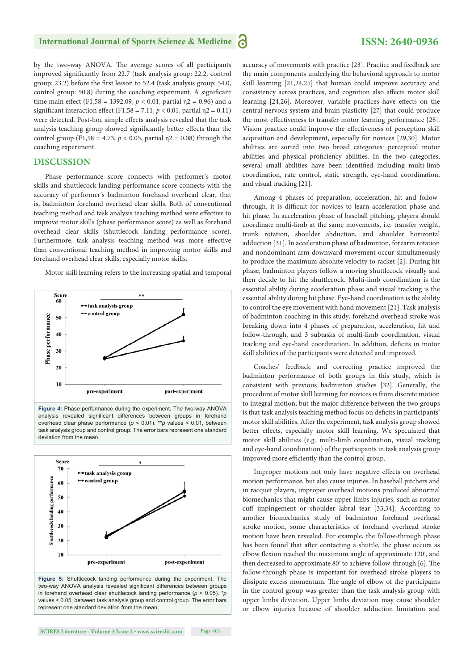by the two-way ANOVA. The average scores of all participants improved significantly from 22.7 (task analysis group: 22.2, control group: 23.2) before the first lesson to 52.4 (task analysis group: 54.0, control group: 50.8) during the coaching experiment. A significant time main effect (F1,58 = 1392.09,  $p < 0.01$ , partial  $p = 0.96$ ) and a significant interaction effect (F1,58 = 7.11,  $p < 0.01$ , partial  $p = 0.11$ ) were detected. Post-hoc simple effects analysis revealed that the task analysis teaching group showed significantly better effects than the control group (F1,58 = 4.73,  $p < 0.05$ , partial  $p = 0.08$ ) through the coaching experiment.

## **DISCUSSION**

Phase performance score connects with performer's motor skills and shuttlecock landing performance score connects with the accuracy of performer's badminton forehand overhead clear, that is, badminton forehand overhead clear skills. Both of conventional teaching method and task analysis teaching method were effective to improve motor skills (phase performance score) as well as forehand overhead clear skills (shuttlecock landing performance score). Furthermore, task analysis teaching method was more effective than conventional teaching method in improving motor skills and forehand overhead clear skills, especially motor skills.

Motor skill learning refers to the increasing spatial and temporal





two-way ANOVA analysis revealed significant differences between groups in forehand overhead clear shuttlecock landing performance (*p* < 0.05). \**p* values < 0.05, between task analysis group and control group. The error bars represent one standard deviation from the mean.

accuracy of movements with practice [23]. Practice and feedback are the main components underlying the behavioral approach to motor skill learning [21,24,25] that human could improve accuracy and consistency across practices, and cognition also affects motor skill learning [24,26]. Moreover, variable practices have effects on the central nervous system and brain plasticity [27] that could produce the most effectiveness to transfer motor learning performance [28]. Vision practice could improve the effectiveness of perception skill acquisition and development, especially for novices [29,30]. Motor abilities are sorted into two broad categories: perceptual motor abilities and physical proficiency abilities. In the two categories, several small abilities have been identified including multi-limb coordination, rate control, static strength, eye-hand coordination, and visual tracking [21].

Among 4 phases of preparation, acceleration, hit and followthrough, it is difficult for novices to learn acceleration phase and hit phase. In acceleration phase of baseball pitching, players should coordinate multi-limb at the same movements, i.e. transfer weight, trunk rotation, shoulder abduction, and shoulder horizontal adduction [31]. In acceleration phase of badminton, forearm rotation and nondominant arm downward movement occur simultaneously to produce the maximum absolute velocity to racket [2]. During hit phase, badminton players follow a moving shuttlecock visually and then decide to hit the shuttlecock. Multi-limb coordination is the essential ability during acceleration phase and visual tracking is the essential ability during hit phase. Eye-hand coordination is the ability to control the eye movement with hand movement [21]. Task analysis of badminton coaching in this study, forehand overhead stroke was breaking down into 4 phases of preparation, acceleration, hit and follow-through, and 3 subtasks of multi-limb coordination, visual tracking and eye-hand coordination. In addition, deficits in motor skill abilities of the participants were detected and improved.

Coaches' feedback and correcting practice improved the badminton performance of both groups in this study, which is consistent with previous badminton studies [32]. Generally, the procedure of motor skill learning for novices is from discrete motion to integral motion, but the major difference between the two groups is that task analysis teaching method focus on deficits in participants' motor skill abilities. After the experiment, task analysis group showed better effects, especially motor skill learning. We speculated that motor skill abilities (e.g. multi-limb coordination, visual tracking and eye-hand coordination) of the participants in task analysis group improved more efficiently than the control group.

Improper motions not only have negative effects on overhead motion performance, but also cause injuries. In baseball pitchers and in racquet players, improper overhead motions produced abnormal biomechanics that might cause upper limbs injuries, such as rotator cuff impingement or shoulder labral tear [33,34]. According to another biomechanics study of badminton forehand overhead stroke motion, some characteristics of forehand overhead stroke motion have been revealed. For example, the follow-through phase has been found that after contacting a shuttle, the phase occurs as elbow flexion reached the maximum angle of approximate 120°, and then decreased to approximate 80° to achieve follow-through [6]. The follow-through phase is important for overhead stroke players to dissipate excess momentum. The angle of elbow of the participants in the control group was greater than the task analysis group with upper limbs deviation. Upper limbs deviation may cause shoulder or elbow injuries because of shoulder adduction limitation and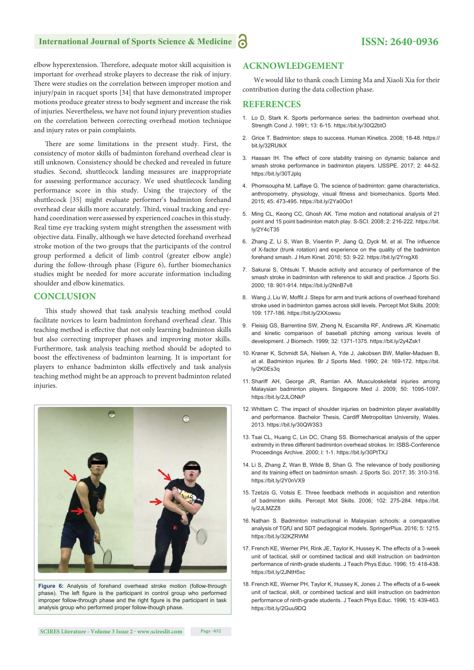## **International Journal of Sports Science & Medicine**

elbow hyperextension. Therefore, adequate motor skill acquisition is important for overhead stroke players to decrease the risk of injury. There were studies on the correlation between improper motion and injury/pain in racquet sports [34] that have demonstrated improper motions produce greater stress to body segment and increase the risk of injuries. Nevertheless, we have not found injury prevention studies on the correlation between correcting overhead motion technique and injury rates or pain complaints.

There are some limitations in the present study. First, the consistency of motor skills of badminton forehand overhead clear is still unknown. Consistency should be checked and revealed in future studies. Second, shuttlecock landing measures are inappropriate for assessing performance accuracy. We used shuttlecock landing performance score in this study. Using the trajectory of the shuttlecock [35] might evaluate performer's badminton forehand overhead clear skills more accurately. Third, visual tracking and eyehand coordination were assessed by experienced coaches in this study. Real time eye tracking system might strengthen the assessment with objective data. Finally, although we have detected forehand overhead stroke motion of the two groups that the participants of the control group performed a deficit of limb control (greater elbow angle) during the follow-through phase (Figure 6), further biomechanics studies might be needed for more accurate information including shoulder and elbow kinematics.

#### **CONCLUSION**

This study showed that task analysis teaching method could facilitate novices to learn badminton forehand overhead clear. This teaching method is effective that not only learning badminton skills but also correcting improper phases and improving motor skills. Furthermore, task analysis teaching method should be adopted to boost the effectiveness of badminton learning. It is important for players to enhance badminton skills effectively and task analysis teaching method might be an approach to prevent badminton related injuries.



**Figure 6:** Analysis of forehand overhead stroke motion (follow-through phase). The left figure is the participant in control group who performed improper follow-through phase and the right figure is the participant in task analysis group who performed proper follow-though phase.

## **ACKNOWLEDGEMENT**

We would like to thank coach Liming Ma and Xiaoli Xia for their contribution during the data collection phase.

#### **REFERENCES**

- 1. Lo D, Stark K. Sports performance series: the badminton overhead shot. Strength Cond J. 1991; 13: 6-15. https://bit.ly/30Q2btO
- 2. Grice T. Badminton: steps to success. Human Kinetics. 2008; 18-48. https:// bit.ly/32RUtkX
- 3. Hassan IH. The effect of core stability training on dynamic balance and smash stroke performance in badminton players. IJSSPE. 2017; 2: 44-52. https://bit.ly/30TJplq
- 4. Phomsoupha M, Laffaye G. The science of badminton: game characteristics, anthropometry, physiology, visual fitness and biomechanics. Sports Med. 2015; 45: 473-495. https://bit.ly/2Ya0Oo1
- 5. Ming CL, Keong CC, Ghosh AK. Time motion and notational analysis of 21 point and 15 point badminton match play. S-SCI. 2008; 2: 216-222. https://bit. ly/2Y4cT35
- 6. Zhang Z, Li S, Wan B, Visentin P, Jiang Q, Dyck M, et al. The influence of X-factor (trunk rotation) and experience on the quality of the badminton forehand smash. J Hum Kinet. 2016; 53: 9-22. https://bit.ly/2YrxgX6
- 7. Sakurai S, Ohtsuki T. Muscle activity and accuracy of performance of the smash stroke in badminton with reference to skill and practice. J Sports Sci. 2000; 18: 901-914. https://bit.ly/2NnB7v8
- 8. Wang J, Liu W, Moffit J. Steps for arm and trunk actions of overhead forehand stroke used in badminton games across skill levels. Percept Mot Skills. 2009; 109: 177-186. https://bit.ly/2XXowsu
- 9. Fleisig GS, Barrentine SW, Zheng N, Escamilla RF, Andrews JR. Kinematic and kinetic comparison of baseball pitching among various levels of development. J Biomech. 1999; 32: 1371-1375. https://bit.ly/2y4Zsk1
- 10. Krøner K, Schmidt SA, Nielsen A, Yde J, Jakobsen BW, Møller-Madsen B, et al. Badminton injuries. Br J Sports Med. 1990; 24: 169-172. https://bit. ly/2K0Es3q
- 11. Shariff AH, George JR, Ramlan AA. Musculoskeletal injuries among Malaysian badminton players. Singapore Med J. 2009; 50: 1095-1097. https://bit.ly/2JLONkP
- 12. Whittam C. The impact of shoulder injuries on badminton player availability and performance. Bachelor Thesis, Cardiff Metropolitan University, Wales. 2013. https://bit.ly/30QW3S3
- 13. Tsai CL, Huang C, Lin DC, Chang SS. Biomechanical analysis of the upper extremity in three different badminton overhead strokes. In: ISBS-Conference Proceedings Archive. 2000; l: 1-1. https://bit.ly/30PtTXJ
- 14. Li S, Zhang Z, Wan B, Wilde B, Shan G. The relevance of body positioning and its training effect on badminton smash. J Sports Sci. 2017; 35: 310-316. https://bit.ly/2Y0nVX9
- 15. Tzetzis G, Votsis E. Three feedback methods in acquisition and retention of badminton skills. Percept Mot Skills. 2006; 102: 275-284. https://bit. ly/2JLMZZ8
- 16. Nathan S. Badminton instructional in Malaysian schools: a comparative analysis of TGfU and SDT pedagogical models. SpringerPlus. 2016; 5: 1215. https://bit.ly/32KZRWM
- 17. French KE, Werner PH, Rink JE, Taylor K, Hussey K. The effects of a 3-week unit of tactical, skill or combined tactical and skill instruction on badminton performance of ninth-grade students. J Teach Phys Educ. 1996; 15: 418-438. https://bit.ly/2JNtH5xc
- 18. French KE, Werner PH, Taylor K, Hussey K, Jones J. The effects of a 6-week unit of tactical, skill, or combined tactical and skill instruction on badminton performance of ninth-grade students. J Teach Phys Educ. 1996; 15: 439-463. https://bit.ly/2Guu9DQ